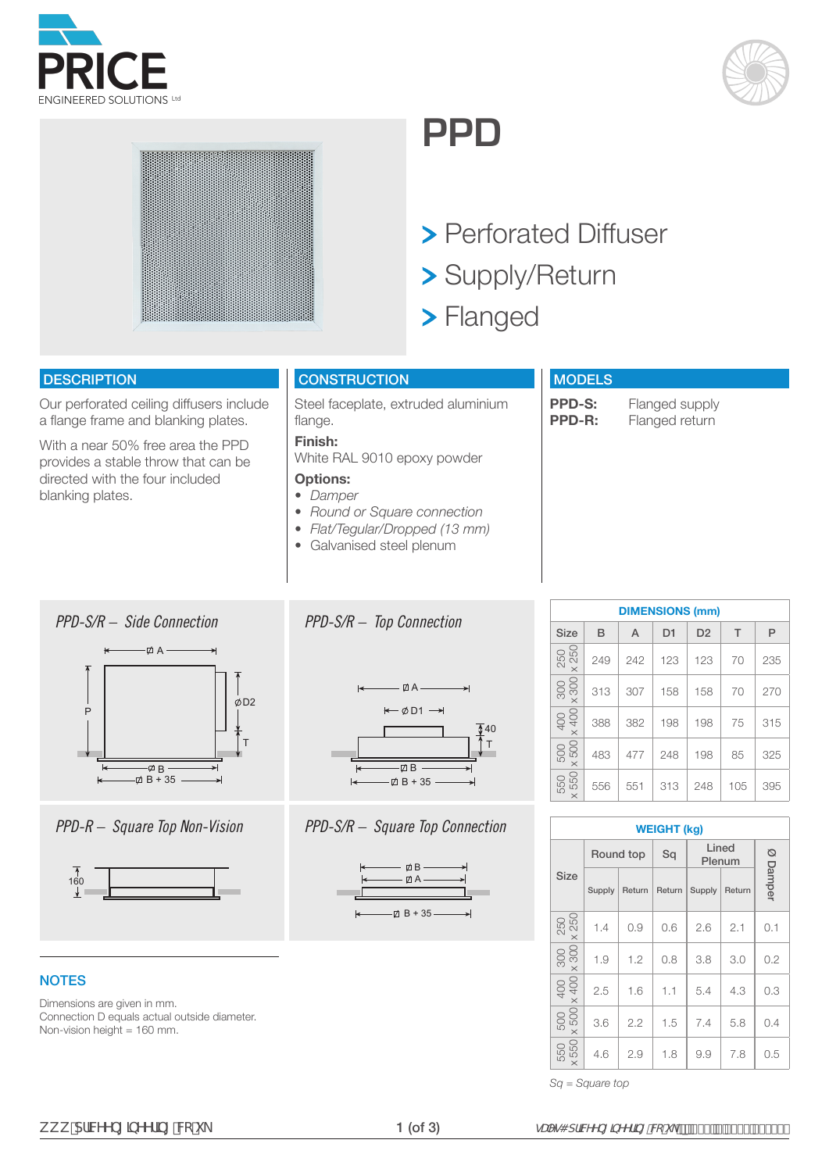





## **PPD**

- > Perforated Diffuser
- Supply/Return
- > Flanged

## **DESCRIPTION**

Our perforated ceiling diffusers include a flange frame and blanking plates.

With a near 50% free area the PPD provides a stable throw that can be directed with the four included blanking plates.

## **CONSTRUCTION**

**Finish:** 

**Options:**  *• Damper*

Steel faceplate, extruded aluminium flange.

White RAL 9010 epoxy powder

*• Round or Square connection • Flat/Tegular/Dropped (13 mm) •* Galvanised steel plenum

## **MODELS**

**PPD-S:** Flanged supply<br>**PPD-R:** Flanged return **Flanged return** 

## *PPD-S/R – Side Connection*



*PPD-R – Square Top Non-Vision*



## **NOTES**

Dimensions are given in mm. Connection D equals actual outside diameter. Non-vision height = 160 mm.



*PPD-S/R – Top Connection*



## *PPD-S/R – Square Top Connection*



| <b>DIMENSIONS (mm)</b>                             |     |     |                |                |     |     |  |  |  |  |  |  |  |  |
|----------------------------------------------------|-----|-----|----------------|----------------|-----|-----|--|--|--|--|--|--|--|--|
| <b>Size</b>                                        | B   | A   | D <sub>1</sub> | D <sub>2</sub> | T   | P   |  |  |  |  |  |  |  |  |
| 250<br>× 250                                       | 249 | 242 | 123            | 123            | 70  | 235 |  |  |  |  |  |  |  |  |
| $\begin{array}{c c} 300 \\ \times 300 \end{array}$ | 313 | 307 | 158            | 158            | 70  | 270 |  |  |  |  |  |  |  |  |
| $\times$ 400<br>400                                | 388 | 382 | 198            | 198            | 75  | 315 |  |  |  |  |  |  |  |  |
| 500<br>x 500                                       | 483 | 477 | 248            | 198            | 85  | 325 |  |  |  |  |  |  |  |  |
| 550<br>550<br>$\times$                             | 556 | 551 | 313            | 248            | 105 | 395 |  |  |  |  |  |  |  |  |

|                     | <b>WEIGHT (kg)</b> |        |        |                 |        |          |  |  |  |  |  |  |  |  |  |
|---------------------|--------------------|--------|--------|-----------------|--------|----------|--|--|--|--|--|--|--|--|--|
|                     | Round top          |        | Sq     | Lined<br>Plenum |        |          |  |  |  |  |  |  |  |  |  |
| <b>Size</b>         | Supply             | Return | Return | Supply          | Return | Ø Damper |  |  |  |  |  |  |  |  |  |
| 250<br>x 250        | 1.4                | 0.9    | 0.6    | 2.6             | 2.1    | 0.1      |  |  |  |  |  |  |  |  |  |
| × 300<br>300        | 1.9                | 1.2    | 0.8    | 3.8             | 3.0    | 0.2      |  |  |  |  |  |  |  |  |  |
| 400<br>$\times$ 400 | 2.5                | 1.6    | 1.1    | 5.4             | 4.3    | 0.3      |  |  |  |  |  |  |  |  |  |
| 500<br>$\times$ 500 | 3.6                | 2.2    | 1.5    | 7.4             | 5.8    | 0.4      |  |  |  |  |  |  |  |  |  |
| $\times$ 550<br>550 | 4.6<br>2.9         |        | 1.8    | 9.9             | 7.8    | 0.5      |  |  |  |  |  |  |  |  |  |

*Sq = Square top*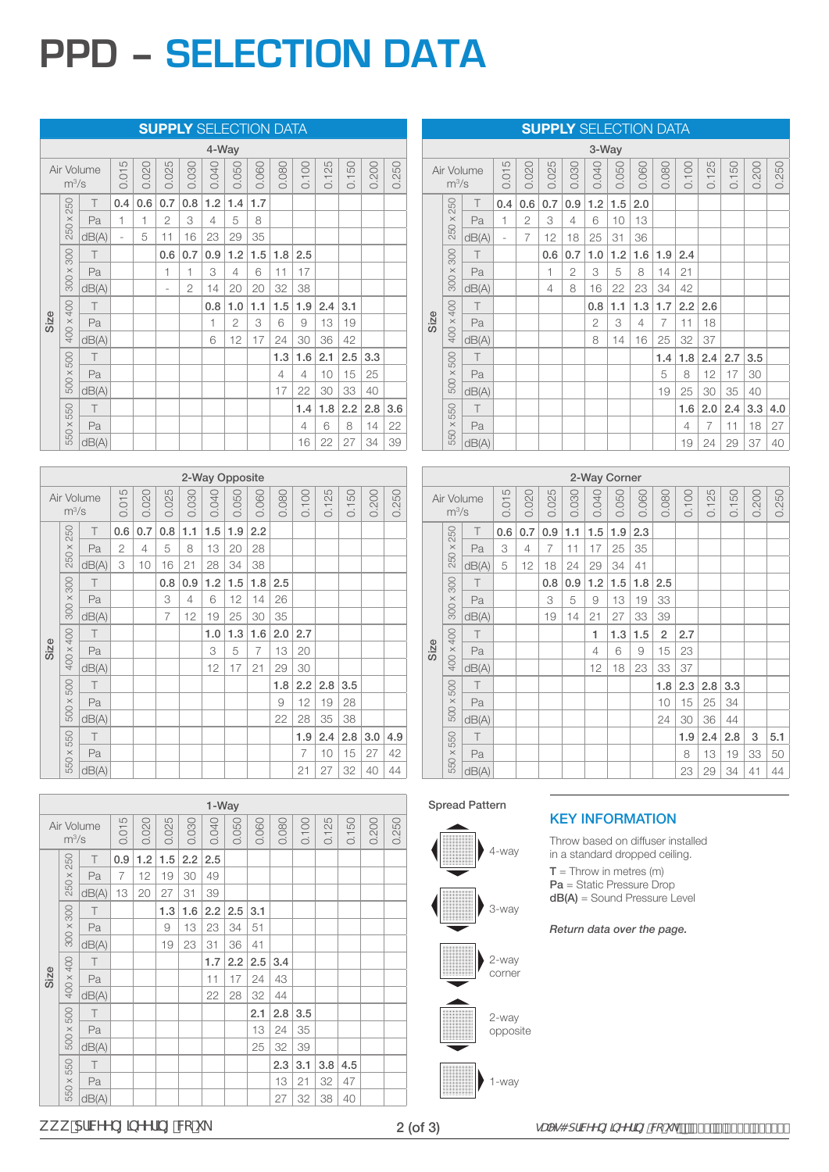# **PPD – SELECTION DATA**

|  |  | <b>SUPPLY</b> SELECTION DATA |
|--|--|------------------------------|
|  |  |                              |

|      | 4-Way     |            |                |       |                          |                |       |                |       |       |       |       |       |       |       |
|------|-----------|------------|----------------|-------|--------------------------|----------------|-------|----------------|-------|-------|-------|-------|-------|-------|-------|
|      | $m^3/s$   | Air Volume | 0.015          | 0.020 | 0.025                    | 0.030          | 0.040 | 0.050          | 0.060 | 0.080 | 0.100 | 0.125 | 0.150 | 0.200 | 0.250 |
|      | 250       | T          | 0.4            | 0.6   | 0.7                      | 0.8            | 1.2   | 1.4            | 1.7   |       |       |       |       |       |       |
|      | 250 x 2   | Pa         | 1              | 1     | $\overline{2}$           | 3              | 4     | 5              | 8     |       |       |       |       |       |       |
|      |           | dB(A)      | $\overline{a}$ | 5     | 11                       | 16             | 23    | 29             | 35    |       |       |       |       |       |       |
|      |           | T          |                |       | 0.6                      | 0.7            | 0.9   | 1.2            | 1.5   | 1.8   | 2.5   |       |       |       |       |
|      | 300 x 300 | Pa         |                |       | $\overline{\phantom{a}}$ | 1              | 3     | 4              | 6     | 11    | 17    |       |       |       |       |
|      |           | dB(A)      |                |       | $\overline{\phantom{m}}$ | $\overline{2}$ | 14    | 20             | 20    | 32    | 38    |       |       |       |       |
|      |           | T          |                |       |                          |                | 0.8   | 1.0            | 1.1   | 1.5   | 1.9   | 2.4   | 3.1   |       |       |
| Size | 400 x 400 | Pa         |                |       |                          |                | 1     | $\overline{2}$ | 3     | 6     | 9     | 13    | 19    |       |       |
|      |           | dB(A)      |                |       |                          |                | 6     | 12             | 17    | 24    | 30    | 36    | 42    |       |       |
|      |           | $\top$     |                |       |                          |                |       |                |       | 1.3   | 1.6   | 2.1   | 2.5   | 3.3   |       |
|      | 500 x 500 | Pa         |                |       |                          |                |       |                |       | 4     | 4     | 10    | 15    | 25    |       |
|      |           | dB(A)      |                |       |                          |                |       |                |       | 17    | 22    | 30    | 33    | 40    |       |
|      |           | $\top$     |                |       |                          |                |       |                |       |       | 1.4   | 1.8   | 2.2   | 2.8   | 3.6   |
|      | 550 x 550 | Pa         |                |       |                          |                |       |                |       |       | 4     | 6     | 8     | 14    | 22    |
|      |           | dB(A)      |                |       |                          |                |       |                |       |       | 16    | 22    | 27    | 34    | 39    |

|      | 2-Way Opposite |            |       |       |       |       |       |       |       |       |                |                            |                            |       |       |
|------|----------------|------------|-------|-------|-------|-------|-------|-------|-------|-------|----------------|----------------------------|----------------------------|-------|-------|
|      | $m^3/s$        | Air Volume | 0.015 | 0.020 | 0.025 | 0.030 | 0.040 | 0.050 | 0.060 | 0.080 | 0.100          | 25<br>$\frac{1}{\sqrt{2}}$ | 50<br>$\frac{1}{\sqrt{2}}$ | 0.200 | 0.250 |
|      |                | $\top$     | 0.6   | 0.7   | 0.8   | 1.1   | 1.5   | 1.9   | 2.2   |       |                |                            |                            |       |       |
|      | 250 x 250      | Pa         | 2     | 4     | 5     | 8     | 13    | 20    | 28    |       |                |                            |                            |       |       |
|      |                | dB(A)      | 3     | 10    | 16    | 21    | 28    | 34    | 38    |       |                |                            |                            |       |       |
|      |                | T          |       |       | 0.8   | 0.9   | 1.2   | 1.5   | 1.8   | 2.5   |                |                            |                            |       |       |
|      | 300 x 300      | Pa         |       |       | 3     | 4     | 6     | 12    | 14    | 26    |                |                            |                            |       |       |
|      |                | dB(A)      |       |       | 7     | 12    | 19    | 25    | 30    | 35    |                |                            |                            |       |       |
|      |                | $\top$     |       |       |       |       | 1.0   | 1.3   | 1.6   | 2.0   | 2.7            |                            |                            |       |       |
| Size | 400 x 400      | Pa         |       |       |       |       | 3     | 5     | 7     | 13    | 20             |                            |                            |       |       |
|      |                | dB(A)      |       |       |       |       | 12    | 17    | 21    | 29    | 30             |                            |                            |       |       |
|      |                | T          |       |       |       |       |       |       |       | 1.8   | 2.2            | 2.8                        | 3.5                        |       |       |
|      | 500 x 500      | Pa         |       |       |       |       |       |       |       | 9     | 12             | 19                         | 28                         |       |       |
|      |                | dB(A)      |       |       |       |       |       |       |       | 22    | 28             | 35                         | 38                         |       |       |
|      |                | $\top$     |       |       |       |       |       |       |       |       | 1.9            | 2.4                        | 2.8                        | 3.0   | 4.9   |
|      | 550 x 550      | Pa         |       |       |       |       |       |       |       |       | $\overline{7}$ | 10                         | 15                         | 27    | 42    |
|      |                | dB(A)      |       |       |       |       |       |       |       |       | 21             | 27                         | 32                         | 40    | 44    |

|       | 1-Way     |            |       |       |       |       |       |       |       |       |       |       |       |       |       |
|-------|-----------|------------|-------|-------|-------|-------|-------|-------|-------|-------|-------|-------|-------|-------|-------|
|       | $m^3/s$   | Air Volume | 0.015 | 0.020 | 0.025 | 0.030 | 0.040 | 0.050 | 0.060 | 0.080 | 0.100 | 0.125 | 0.150 | 0.200 | 0.250 |
|       |           | $\top$     | 0.9   | 1.2   | 1.5   | 2.2   | 2.5   |       |       |       |       |       |       |       |       |
|       | 250 x 250 | Pa         | 7     | 12    | 19    | 30    | 49    |       |       |       |       |       |       |       |       |
|       |           | dB(A)      | 13    | 20    | 27    | 31    | 39    |       |       |       |       |       |       |       |       |
|       |           | $\top$     |       |       | 1.3   | 1.6   | 2.2   | 2.5   | 3.1   |       |       |       |       |       |       |
|       | 300 x 300 | Pa         |       |       | 9     | 13    | 23    | 34    | 51    |       |       |       |       |       |       |
|       |           | dB(A)      |       |       | 19    | 23    | 31    | 36    | 41    |       |       |       |       |       |       |
|       |           | T          |       |       |       |       | 1.7   | 2.2   | 2.5   | 3.4   |       |       |       |       |       |
| Size  | 400 x 400 | Pa         |       |       |       |       | 11    | 17    | 24    | 43    |       |       |       |       |       |
|       |           | dB(A)      |       |       |       |       | 22    | 28    | 32    | 44    |       |       |       |       |       |
|       |           | T          |       |       |       |       |       |       | 2.1   | 2.8   | 3.5   |       |       |       |       |
|       | 500 x 500 | Pa         |       |       |       |       |       |       | 13    | 24    | 35    |       |       |       |       |
|       |           | dB(A)      |       |       |       |       |       |       | 25    | 32    | 39    |       |       |       |       |
|       |           | $\top$     |       |       |       |       |       |       |       | 2.3   | 3.1   | 3.8   | 4.5   |       |       |
|       | 550 x 550 | Pa         |       |       |       |       |       |       |       | 13    | 21    | 32    | 47    |       |       |
| dB(A) |           |            |       |       |       |       |       |       |       | 27    | 32    | 38    | 40    |       |       |

|                                                  | 3-Way     |        |           |     |                |       |       |       |       |       |       |                |       |       |       |
|--------------------------------------------------|-----------|--------|-----------|-----|----------------|-------|-------|-------|-------|-------|-------|----------------|-------|-------|-------|
| 0.015<br>0.025<br>0.020<br>Air Volume<br>$m^3/s$ |           |        |           |     |                | 0.030 | 0.040 | 0.050 | 0.060 | 0.080 | 0.100 | 0.125          | 0.150 | 0.200 | 0.250 |
|                                                  |           | T      | 0.4       | 0.6 | 0.7            | 0.9   | 1.2   | 1.5   | 2.0   |       |       |                |       |       |       |
|                                                  | 250 x 250 | Pa     | 1         | 2   | 3              | 4     | 6     | 10    | 13    |       |       |                |       |       |       |
|                                                  |           | dB(A)  | $\bar{ }$ | 7   | 12             | 18    | 25    | 31    | 36    |       |       |                |       |       |       |
|                                                  |           | $\top$ |           |     | 0.6            | 0.7   | 1.0   | 1.2   | 1.6   | 1.9   | 2.4   |                |       |       |       |
|                                                  | 300 x 300 | Pa     |           |     | 1              | 2     | 3     | 5     | 8     | 14    | 21    |                |       |       |       |
|                                                  |           | dB(A)  |           |     | $\overline{4}$ | 8     | 16    | 22    | 23    | 34    | 42    |                |       |       |       |
|                                                  |           | T      |           |     |                |       | 0.8   | 1.1   | 1.3   | 1.7   | 2.2   | 2.6            |       |       |       |
| Size                                             | 400 x 400 | Pa     |           |     |                |       | 2     | 3     | 4     | 7     | 11    | 18             |       |       |       |
|                                                  |           | dB(A)  |           |     |                |       | 8     | 14    | 16    | 25    | 32    | 37             |       |       |       |
|                                                  |           | T      |           |     |                |       |       |       |       | 1.4   | 1.8   | 2.4            | 2.7   | 3.5   |       |
|                                                  | 500 x 500 | Pa     |           |     |                |       |       |       |       | 5     | 8     | 12             | 17    | 30    |       |
|                                                  |           | dB(A)  |           |     |                |       |       |       |       | 19    | 25    | 30             | 35    | 40    |       |
|                                                  |           | $\top$ |           |     |                |       |       |       |       |       | 1.6   | 2.0            | 2.4   | 3.3   | 4.0   |
|                                                  | 550 x 550 | Pa     |           |     |                |       |       |       |       |       | 4     | $\overline{7}$ | 11    | 18    | 27    |
|                                                  |           | dB(A)  |           |     |                |       |       |       |       |       | 19    | 24             | 29    | 37    | 40    |

**SUPPLY** SELECTION DATA

|       | 2-Way Corner |            |       |                |       |       |       |       |       |                |       |       |       |       |       |
|-------|--------------|------------|-------|----------------|-------|-------|-------|-------|-------|----------------|-------|-------|-------|-------|-------|
|       | $m^3/s$      | Air Volume | 0.015 | 0.020          | 0.025 | 0.030 | 0.040 | 0.050 | 0.060 | 0.080          | 0.100 | 0.125 | 0.150 | 0.200 | 0.250 |
|       |              | $\top$     | 0.6   | 0.7            | 0.9   | 1.1   | 1.5   | 1.9   | 2.3   |                |       |       |       |       |       |
|       | 250 x 250    | Pa         | 3     | $\overline{4}$ | 7     | 11    | 17    | 25    | 35    |                |       |       |       |       |       |
|       |              | dB(A)      | 5     | 12             | 18    | 24    | 29    | 34    | 41    |                |       |       |       |       |       |
|       |              | $\top$     |       |                | 0.8   | 0.9   | 1.2   | 1.5   | 1.8   | 2.5            |       |       |       |       |       |
|       | 300 x 300    | Pa         |       |                | 3     | 5     | 9     | 13    | 19    | 33             |       |       |       |       |       |
|       |              | dB(A)      |       |                | 19    | 14    | 21    | 27    | 33    | 39             |       |       |       |       |       |
|       |              | $\top$     |       |                |       |       | 1     | 1.3   | 1.5   | $\overline{2}$ | 2.7   |       |       |       |       |
| Size  | 400 x 400    | Pa         |       |                |       |       | 4     | 6     | 9     | 15             | 23    |       |       |       |       |
|       |              | dB(A)      |       |                |       |       | 12    | 18    | 23    | 33             | 37    |       |       |       |       |
|       |              | T          |       |                |       |       |       |       |       | 1.8            | 2.3   | 2.8   | 3.3   |       |       |
|       | 500 x 500    | Pa         |       |                |       |       |       |       |       | 10             | 15    | 25    | 34    |       |       |
|       |              | dB(A)      |       |                |       |       |       |       |       | 24             | 30    | 36    | 44    |       |       |
|       |              | T          |       |                |       |       |       |       |       |                | 1.9   | 2.4   | 2.8   | 3     | 5.1   |
|       | 550 x 550    | Pa         |       |                |       |       |       |       |       |                | 8     | 13    | 19    | 33    | 50    |
| dB(A) |              |            |       |                |       |       |       |       |       |                | 23    | 29    | 34    | 41    | 44    |

### Spread Pattern



## KEY INFORMATION

Throw based on diffuser installed in a standard dropped ceiling.

 $T = Throw in metres (m)$ Pa = Static Pressure Drop dB(A) = Sound Pressure Level

*Return data over the page.*